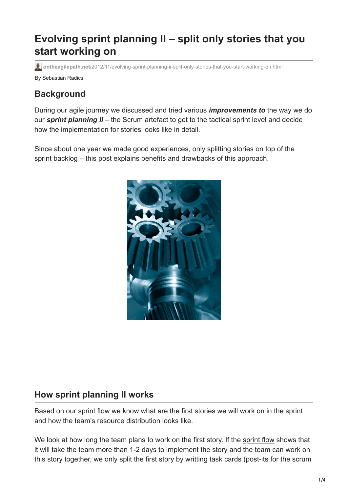# **Evolving sprint planning II – split only stories that you start working on**

**ontheagilepath.net**[/2012/11/evolving-sprint-planning-ii-split-only-stories-that-you-start-working-on.html](https://www.ontheagilepath.net/2012/11/evolving-sprint-planning-ii-split-only-stories-that-you-start-working-on.html)

By Sebastian Radics

# **Background**

During our agile journey we discussed and tried various *improvements to* the way we do our *sprint planning II* – the Scrum artefact to get to the tactical sprint level and decide how the implementation for stories looks like in detail.

Since about one year we made good experiences, only splitting stories on top of the sprint backlog – this post explains benefits and drawbacks of this approach.



# **How sprint planning II works**

Based on our [sprint flow](http://www.ontheagilepath.net/2012/11/visualize-sprint-progress-alternative.html) we know what are the first stories we will work on in the sprint and how the team's resource distribution looks like.

We look at how long the team plans to work on the first story. If the [sprint flow](http://www.ontheagilepath.net/2012/11/visualize-sprint-progress-alternative.html) shows that it will take the team more than 1-2 days to implement the story and the team can work on this story together, we only split the first story by writting task cards (post-its for the scrum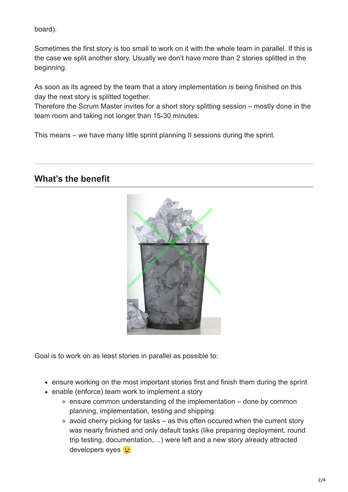board).

Sometimes the first story is too small to work on it with the whole team in parallel. If this is the case we split another story. Usually we don't have more than 2 stories splitted in the beginning.

As soon as its agreed by the team that a story implementation is being finished on this day the next story is splitted together.

Therefore the Scrum Master invites for a short story splitting session – mostly done in the team room and taking not longer than 15-30 minutes.

This means – we have many little sprint planning II sessions during the sprint.

#### **What's the benefit**



Goal is to work on as least stories in parallel as possible to:

- ensure working on the most important stories first and finish them during the sprint
- enable (enforce) team work to implement a story
	- $\circ$  ensure common understanding of the implementation done by common planning, implementation, testing and shipping
	- $\circ$  avoid cherry picking for tasks as this often occured when the current story was nearly finished and only default tasks (like preparing deployment, round trip testing, documentation,…) were left and a new story already attracted developers eyes  $\ddots$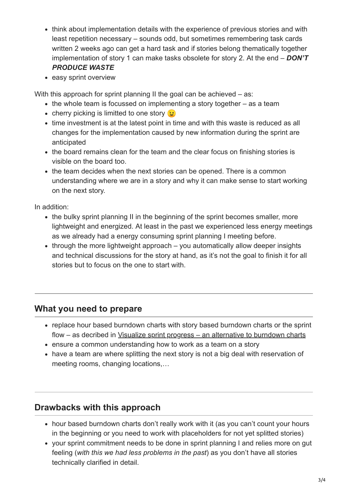- think about implementation details with the experience of previous stories and with least repetition necessary – sounds odd, but sometimes remembering task cards written 2 weeks ago can get a hard task and if stories belong thematically together implementation of story 1 can make tasks obsolete for story 2. At the end – *DON'T PRODUCE WASTE*
- easy sprint overview

With this approach for sprint planning II the goal can be achieved – as:

- $\bullet$  the whole team is focussed on implementing a story together as a team
- cherry picking is limitted to one story  $\odot$
- time investment is at the latest point in time and with this waste is reduced as all changes for the implementation caused by new information during the sprint are anticipated
- the board remains clean for the team and the clear focus on finishing stories is visible on the board too.
- the team decides when the next stories can be opened. There is a common understanding where we are in a story and why it can make sense to start working on the next story.

In addition:

- the bulky sprint planning II in the beginning of the sprint becomes smaller, more lightweight and energized. At least in the past we experienced less energy meetings as we already had a energy consuming sprint planning I meeting before.
- $\bullet$  through the more lightweight approach you automatically allow deeper insights and technical discussions for the story at hand, as it's not the goal to finish it for all stories but to focus on the one to start with.

# **What you need to prepare**

- replace hour based burndown charts with story based burndown charts or the sprint flow – as decribed in [Visualize sprint progress – an alternative to burndown charts](http://www.ontheagilepath.net/2012/11/visualize-sprint-progress-alternative.html)
- ensure a common understanding how to work as a team on a story
- have a team are where splitting the next story is not a big deal with reservation of meeting rooms, changing locations,…

# **Drawbacks with this approach**

- hour based burndown charts don't really work with it (as you can't count your hours in the beginning or you need to work with placeholders for not yet splitted stories)
- your sprint commitment needs to be done in sprint planning I and relies more on gut feeling (*with this we had less problems in the past*) as you don't have all stories technically clarified in detail.